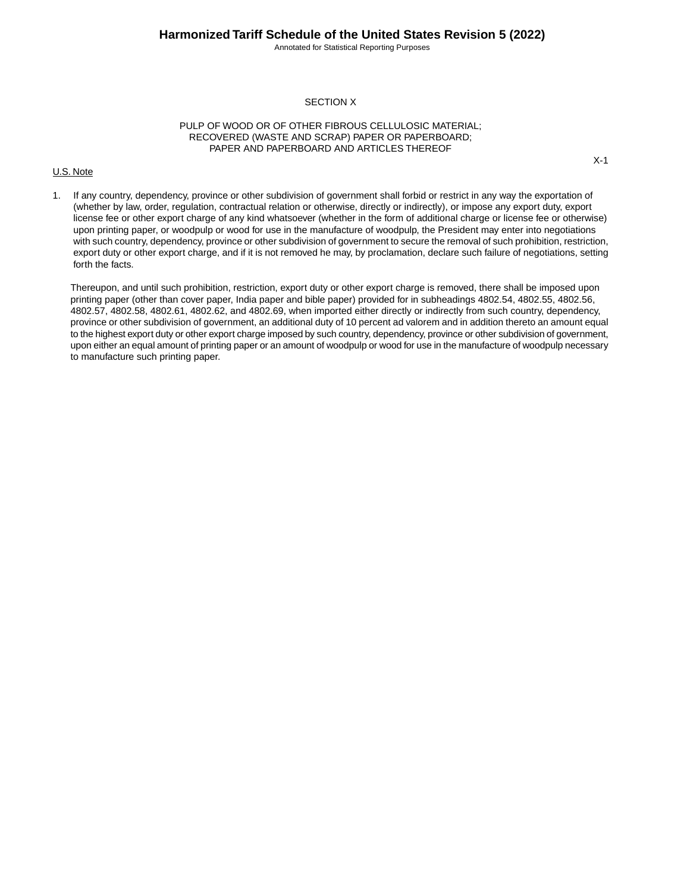## **Harmonized Tariff Schedule of the United States Revision 5 (2022)**

Annotated for Statistical Reporting Purposes

X-1

#### SECTION X

#### PULP OF WOOD OR OF OTHER FIBROUS CELLULOSIC MATERIAL; RECOVERED (WASTE AND SCRAP) PAPER OR PAPERBOARD; PAPER AND PAPERBOARD AND ARTICLES THEREOF

#### U.S. Note

1. If any country, dependency, province or other subdivision of government shall forbid or restrict in any way the exportation of (whether by law, order, regulation, contractual relation or otherwise, directly or indirectly), or impose any export duty, export license fee or other export charge of any kind whatsoever (whether in the form of additional charge or license fee or otherwise) upon printing paper, or woodpulp or wood for use in the manufacture of woodpulp, the President may enter into negotiations with such country, dependency, province or other subdivision of government to secure the removal of such prohibition, restriction, export duty or other export charge, and if it is not removed he may, by proclamation, declare such failure of negotiations, setting forth the facts.

Thereupon, and until such prohibition, restriction, export duty or other export charge is removed, there shall be imposed upon printing paper (other than cover paper, India paper and bible paper) provided for in subheadings 4802.54, 4802.55, 4802.56, 4802.57, 4802.58, 4802.61, 4802.62, and 4802.69, when imported either directly or indirectly from such country, dependency, province or other subdivision of government, an additional duty of 10 percent ad valorem and in addition thereto an amount equal to the highest export duty or other export charge imposed by such country, dependency, province or other subdivision of government, upon either an equal amount of printing paper or an amount of woodpulp or wood for use in the manufacture of woodpulp necessary to manufacture such printing paper.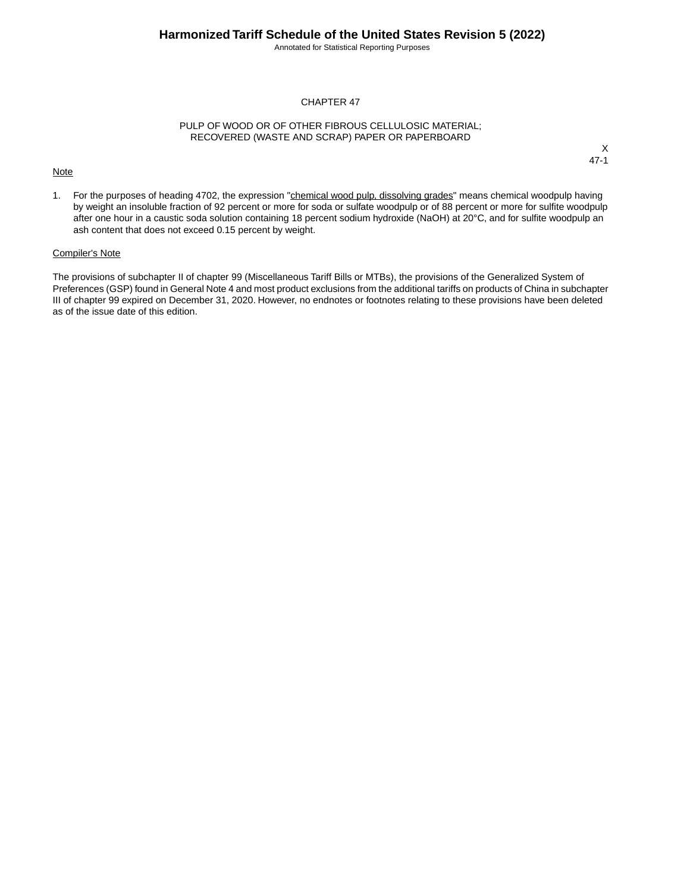Annotated for Statistical Reporting Purposes

#### CHAPTER 47

#### PULP OF WOOD OR OF OTHER FIBROUS CELLULOSIC MATERIAL; RECOVERED (WASTE AND SCRAP) PAPER OR PAPERBOARD

#### **Note**

X 47-1

1. For the purposes of heading 4702, the expression "chemical wood pulp, dissolving grades" means chemical woodpulp having by weight an insoluble fraction of 92 percent or more for soda or sulfate woodpulp or of 88 percent or more for sulfite woodpulp after one hour in a caustic soda solution containing 18 percent sodium hydroxide (NaOH) at 20°C, and for sulfite woodpulp an ash content that does not exceed 0.15 percent by weight.

### Compiler's Note

The provisions of subchapter II of chapter 99 (Miscellaneous Tariff Bills or MTBs), the provisions of the Generalized System of Preferences (GSP) found in General Note 4 and most product exclusions from the additional tariffs on products of China in subchapter III of chapter 99 expired on December 31, 2020. However, no endnotes or footnotes relating to these provisions have been deleted as of the issue date of this edition.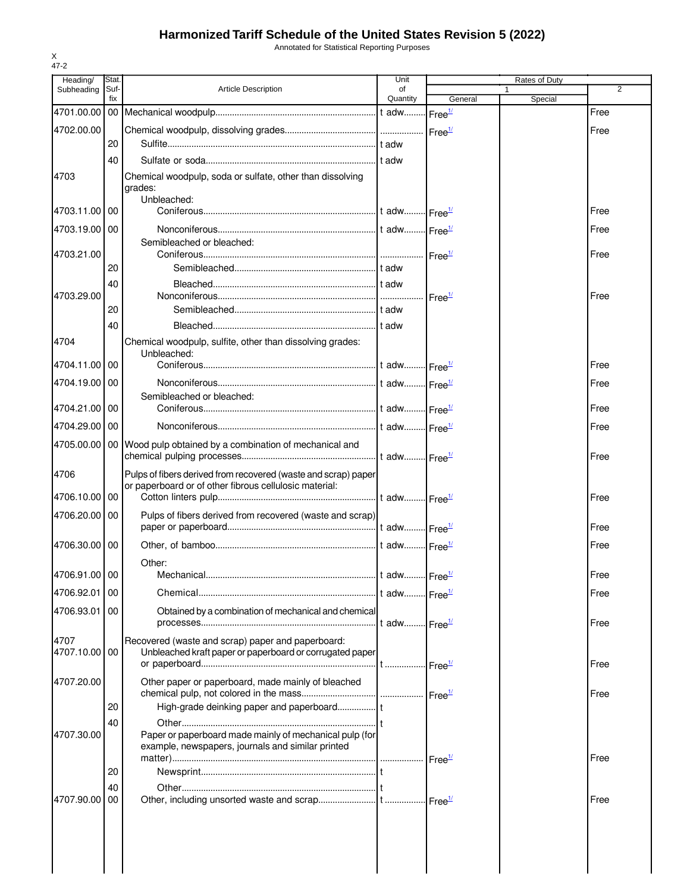# **Harmonized Tariff Schedule of the United States Revision 5 (2022)**

Annotated for Statistical Reporting Purposes

|            | Heading/      | Stat.           |                                                                          | Unit                     |                    | <b>Rates of Duty</b> |                |
|------------|---------------|-----------------|--------------------------------------------------------------------------|--------------------------|--------------------|----------------------|----------------|
|            | Subheading    | Suf-<br>fix     | <b>Article Description</b>                                               | οf<br>Quantity           | General            | 1<br>Special         | $\overline{2}$ |
| 4701.00.00 |               | 00 <sub>1</sub> |                                                                          |                          | Free <sup>1/</sup> |                      | Free           |
|            | 4702.00.00    |                 |                                                                          |                          | Free <sup>1/</sup> |                      | Free           |
|            |               | 20              |                                                                          |                          |                    |                      |                |
|            |               | 40              |                                                                          |                          |                    |                      |                |
| 4703       |               |                 | Chemical woodpulp, soda or sulfate, other than dissolving                |                          |                    |                      |                |
|            |               |                 | grades:                                                                  |                          |                    |                      |                |
|            | 4703.11.00    | 00              | Unbleached:                                                              |                          |                    |                      | Free           |
|            | 4703.19.00    | 00              |                                                                          |                          |                    |                      | Free           |
|            |               |                 | Semibleached or bleached:                                                |                          |                    |                      |                |
|            | 4703.21.00    |                 |                                                                          |                          |                    |                      | Free           |
|            |               | 20              |                                                                          |                          |                    |                      |                |
|            |               | 40              |                                                                          |                          |                    |                      |                |
|            | 4703.29.00    |                 |                                                                          |                          | Free <sup>1/</sup> |                      | Free           |
|            |               | 20              |                                                                          |                          |                    |                      |                |
|            |               | 40              |                                                                          |                          |                    |                      |                |
| 4704       |               |                 | Chemical woodpulp, sulfite, other than dissolving grades:<br>Unbleached: |                          |                    |                      |                |
|            | 4704.11.00    | 00              |                                                                          |                          |                    |                      | Free           |
|            | 4704.19.00    | 00              |                                                                          |                          |                    |                      | Free           |
|            |               |                 | Semibleached or bleached:                                                |                          |                    |                      |                |
|            | 4704.21.00    | 00              |                                                                          | t adw Free <sup>1/</sup> |                    |                      | Free           |
|            | 4704.29.00    | 00              |                                                                          |                          |                    |                      | Free           |
|            | 4705.00.00    | 00 <sub>1</sub> | Wood pulp obtained by a combination of mechanical and                    |                          |                    |                      |                |
|            |               |                 |                                                                          | t adw Free <sup>1/</sup> |                    |                      | Free           |
| 4706       |               |                 | Pulps of fibers derived from recovered (waste and scrap) paper           |                          |                    |                      |                |
|            | 4706.10.00    | 00              | or paperboard or of other fibrous cellulosic material:                   |                          |                    |                      | Free           |
|            |               |                 |                                                                          |                          |                    |                      |                |
|            | 4706.20.00    | 00              | Pulps of fibers derived from recovered (waste and scrap)                 |                          |                    |                      | Free           |
|            | 4706.30.00    | 00              |                                                                          |                          |                    |                      | Free           |
|            |               |                 | Other:                                                                   |                          |                    |                      |                |
|            | 4706.91.00 00 |                 |                                                                          |                          |                    |                      | Free           |
|            | 4706.92.01    | 00              |                                                                          |                          |                    |                      | Free           |
|            | 4706.93.01    | 00              | Obtained by a combination of mechanical and chemical                     |                          |                    |                      |                |
|            |               |                 |                                                                          | t adw Free <sup>1/</sup> |                    |                      | Free           |
| 4707       |               |                 | Recovered (waste and scrap) paper and paperboard:                        |                          |                    |                      |                |
|            | 4707.10.00    | 00              | Unbleached kraft paper or paperboard or corrugated paper                 |                          |                    |                      |                |
|            |               |                 |                                                                          |                          |                    |                      | Free           |
|            | 4707.20.00    |                 | Other paper or paperboard, made mainly of bleached                       |                          |                    |                      |                |
|            |               | 20              |                                                                          |                          |                    |                      | Free           |
|            |               | 40              |                                                                          |                          |                    |                      |                |
|            | 4707.30.00    |                 | Paper or paperboard made mainly of mechanical pulp (for                  |                          |                    |                      |                |
|            |               |                 | example, newspapers, journals and similar printed                        |                          |                    |                      |                |
|            |               |                 |                                                                          |                          |                    |                      | Free           |
|            |               | 20              |                                                                          |                          |                    |                      |                |
|            | 4707.90.00    | 40<br>00        |                                                                          |                          |                    |                      | Free           |
|            |               |                 |                                                                          |                          |                    |                      |                |
|            |               |                 |                                                                          |                          |                    |                      |                |
|            |               |                 |                                                                          |                          |                    |                      |                |
|            |               |                 |                                                                          |                          |                    |                      |                |
|            |               |                 |                                                                          |                          |                    |                      |                |

X 47-2